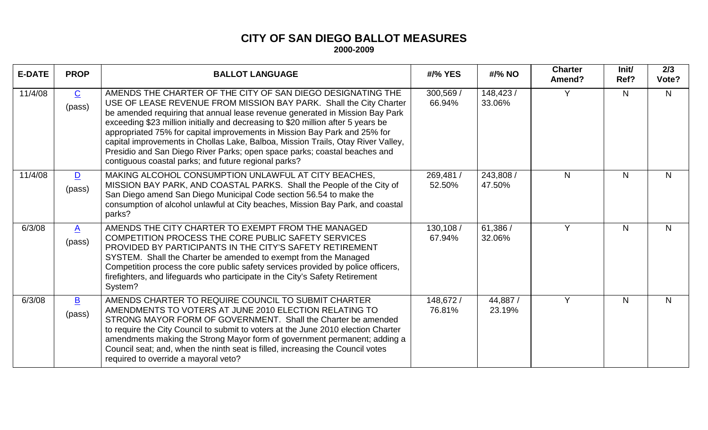## **CITY OF SAN DIEGO BALLOT MEASURES 2000-2009**

| <b>E-DATE</b> | <b>PROP</b>              | <b>BALLOT LANGUAGE</b>                                                                                                                                                                                                                                                                                                                                                                                                                                                                                                                                                                                      | #/% YES             | #/% NO              | <b>Charter</b><br>Amend? | Init/<br>Ref? | 2/3<br>Vote? |
|---------------|--------------------------|-------------------------------------------------------------------------------------------------------------------------------------------------------------------------------------------------------------------------------------------------------------------------------------------------------------------------------------------------------------------------------------------------------------------------------------------------------------------------------------------------------------------------------------------------------------------------------------------------------------|---------------------|---------------------|--------------------------|---------------|--------------|
| 11/4/08       | $\overline{C}$<br>(pass) | AMENDS THE CHARTER OF THE CITY OF SAN DIEGO DESIGNATING THE<br>USE OF LEASE REVENUE FROM MISSION BAY PARK. Shall the City Charter<br>be amended requiring that annual lease revenue generated in Mission Bay Park<br>exceeding \$23 million initially and decreasing to \$20 million after 5 years be<br>appropriated 75% for capital improvements in Mission Bay Park and 25% for<br>capital improvements in Chollas Lake, Balboa, Mission Trails, Otay River Valley,<br>Presidio and San Diego River Parks; open space parks; coastal beaches and<br>contiguous coastal parks; and future regional parks? | 300,569 /<br>66.94% | 148,423 /<br>33.06% | Υ                        | N             | N.           |
| 11/4/08       | $\mathbf{D}$<br>(pass)   | MAKING ALCOHOL CONSUMPTION UNLAWFUL AT CITY BEACHES,<br>MISSION BAY PARK, AND COASTAL PARKS. Shall the People of the City of<br>San Diego amend San Diego Municipal Code section 56.54 to make the<br>consumption of alcohol unlawful at City beaches, Mission Bay Park, and coastal<br>parks?                                                                                                                                                                                                                                                                                                              | 269,481 /<br>52.50% | 243,808 /<br>47.50% | N.                       | N.            | N.           |
| 6/3/08        | $\mathbf{A}$<br>(pass)   | AMENDS THE CITY CHARTER TO EXEMPT FROM THE MANAGED<br>COMPETITION PROCESS THE CORE PUBLIC SAFETY SERVICES<br>PROVIDED BY PARTICIPANTS IN THE CITY'S SAFETY RETIREMENT<br>SYSTEM. Shall the Charter be amended to exempt from the Managed<br>Competition process the core public safety services provided by police officers,<br>firefighters, and lifeguards who participate in the City's Safety Retirement<br>System?                                                                                                                                                                                     | 130,108 /<br>67.94% | 61,386 /<br>32.06%  | Y                        | N.            | N            |
| 6/3/08        | $\mathbf{B}$<br>(pass)   | AMENDS CHARTER TO REQUIRE COUNCIL TO SUBMIT CHARTER<br>AMENDMENTS TO VOTERS AT JUNE 2010 ELECTION RELATING TO<br>STRONG MAYOR FORM OF GOVERNMENT. Shall the Charter be amended<br>to require the City Council to submit to voters at the June 2010 election Charter<br>amendments making the Strong Mayor form of government permanent; adding a<br>Council seat; and, when the ninth seat is filled, increasing the Council votes<br>required to override a mayoral veto?                                                                                                                                  | 148,672 /<br>76.81% | 44,887/<br>23.19%   | Y                        | N             | N            |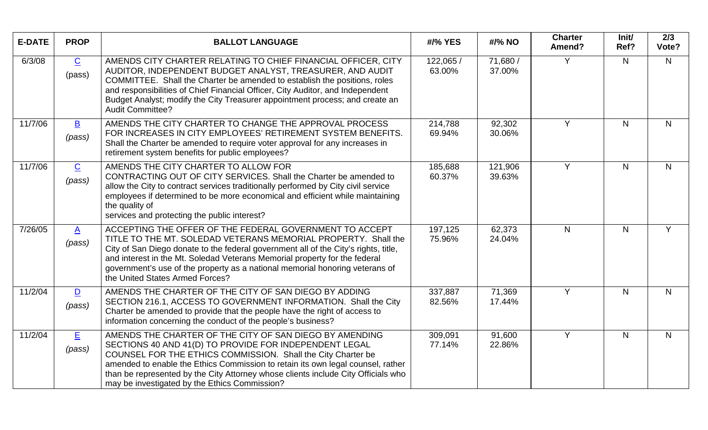| <b>E-DATE</b> | <b>PROP</b>                       | <b>BALLOT LANGUAGE</b>                                                                                                                                                                                                                                                                                                                                                                                            | #/% YES             | #/% NO             | <b>Charter</b><br>Amend? | Init/<br>Ref? | 2/3<br>Vote?   |
|---------------|-----------------------------------|-------------------------------------------------------------------------------------------------------------------------------------------------------------------------------------------------------------------------------------------------------------------------------------------------------------------------------------------------------------------------------------------------------------------|---------------------|--------------------|--------------------------|---------------|----------------|
| 6/3/08        | $\overline{C}$<br>(pass)          | AMENDS CITY CHARTER RELATING TO CHIEF FINANCIAL OFFICER, CITY<br>AUDITOR, INDEPENDENT BUDGET ANALYST, TREASURER, AND AUDIT<br>COMMITTEE. Shall the Charter be amended to establish the positions, roles<br>and responsibilities of Chief Financial Officer, City Auditor, and Independent<br>Budget Analyst; modify the City Treasurer appointment process; and create an<br><b>Audit Committee?</b>              | 122,065 /<br>63.00% | 71,680 /<br>37.00% | Y                        | N             | N              |
| 11/7/06       | $\overline{\mathbf{B}}$<br>(pass) | AMENDS THE CITY CHARTER TO CHANGE THE APPROVAL PROCESS<br>FOR INCREASES IN CITY EMPLOYEES' RETIREMENT SYSTEM BENEFITS.<br>Shall the Charter be amended to require voter approval for any increases in<br>retirement system benefits for public employees?                                                                                                                                                         | 214,788<br>69.94%   | 92,302<br>30.06%   | Y                        | $\mathsf{N}$  | N              |
| 11/7/06       | $\overline{C}$<br>(pass)          | AMENDS THE CITY CHARTER TO ALLOW FOR<br>CONTRACTING OUT OF CITY SERVICES. Shall the Charter be amended to<br>allow the City to contract services traditionally performed by City civil service<br>employees if determined to be more economical and efficient while maintaining<br>the quality of<br>services and protecting the public interest?                                                                 | 185,688<br>60.37%   | 121,906<br>39.63%  | Y                        | $\mathsf{N}$  | N              |
| 7/26/05       | $\underline{A}$<br>(pass)         | ACCEPTING THE OFFER OF THE FEDERAL GOVERNMENT TO ACCEPT<br>TITLE TO THE MT. SOLEDAD VETERANS MEMORIAL PROPERTY. Shall the<br>City of San Diego donate to the federal government all of the City's rights, title,<br>and interest in the Mt. Soledad Veterans Memorial property for the federal<br>government's use of the property as a national memorial honoring veterans of<br>the United States Armed Forces? | 197,125<br>75.96%   | 62,373<br>24.04%   | N.                       | N             | Y              |
| 11/2/04       | $\overline{\mathsf{D}}$<br>(pass) | AMENDS THE CHARTER OF THE CITY OF SAN DIEGO BY ADDING<br>SECTION 216.1, ACCESS TO GOVERNMENT INFORMATION. Shall the City<br>Charter be amended to provide that the people have the right of access to<br>information concerning the conduct of the people's business?                                                                                                                                             | 337,887<br>82.56%   | 71,369<br>17.44%   | Y                        | $\mathsf{N}$  | N <sub>1</sub> |
| 11/2/04       | <u>目</u><br>(pass)                | AMENDS THE CHARTER OF THE CITY OF SAN DIEGO BY AMENDING<br>SECTIONS 40 AND 41(D) TO PROVIDE FOR INDEPENDENT LEGAL<br>COUNSEL FOR THE ETHICS COMMISSION. Shall the City Charter be<br>amended to enable the Ethics Commission to retain its own legal counsel, rather<br>than be represented by the City Attorney whose clients include City Officials who<br>may be investigated by the Ethics Commission?        | 309,091<br>77.14%   | 91,600<br>22.86%   | Y                        | N             | N              |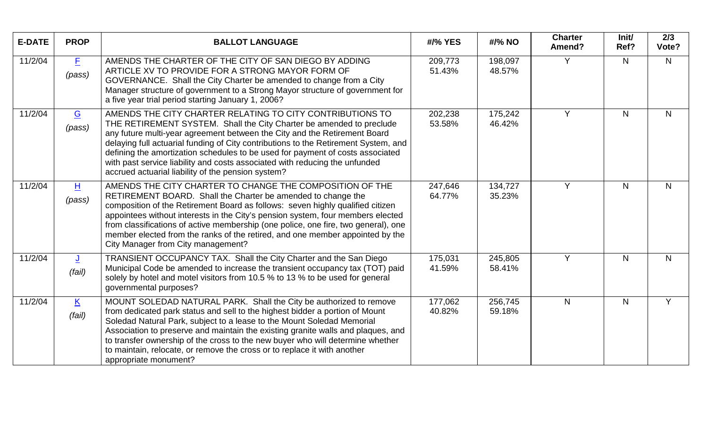| <b>E-DATE</b> | <b>PROP</b>                        | <b>BALLOT LANGUAGE</b>                                                                                                                                                                                                                                                                                                                                                                                                                                                                                                       | #/% YES           | #/% NO            | <b>Charter</b><br>Amend? | Init/<br>Ref? | 2/3<br>Vote?   |
|---------------|------------------------------------|------------------------------------------------------------------------------------------------------------------------------------------------------------------------------------------------------------------------------------------------------------------------------------------------------------------------------------------------------------------------------------------------------------------------------------------------------------------------------------------------------------------------------|-------------------|-------------------|--------------------------|---------------|----------------|
| 11/2/04       | E<br>(pass)                        | AMENDS THE CHARTER OF THE CITY OF SAN DIEGO BY ADDING<br>ARTICLE XV TO PROVIDE FOR A STRONG MAYOR FORM OF<br>GOVERNANCE. Shall the City Charter be amended to change from a City<br>Manager structure of government to a Strong Mayor structure of government for<br>a five year trial period starting January 1, 2006?                                                                                                                                                                                                      | 209,773<br>51.43% | 198,097<br>48.57% | Y                        | N             | $\mathsf{N}$   |
| 11/2/04       | G<br>(pass)                        | AMENDS THE CITY CHARTER RELATING TO CITY CONTRIBUTIONS TO<br>THE RETIREMENT SYSTEM. Shall the City Charter be amended to preclude<br>any future multi-year agreement between the City and the Retirement Board<br>delaying full actuarial funding of City contributions to the Retirement System, and<br>defining the amortization schedules to be used for payment of costs associated<br>with past service liability and costs associated with reducing the unfunded<br>accrued actuarial liability of the pension system? | 202,238<br>53.58% | 175,242<br>46.42% | Y                        | N             | N <sub>1</sub> |
| 11/2/04       | H<br>(pass)                        | AMENDS THE CITY CHARTER TO CHANGE THE COMPOSITION OF THE<br>RETIREMENT BOARD. Shall the Charter be amended to change the<br>composition of the Retirement Board as follows: seven highly qualified citizen<br>appointees without interests in the City's pension system, four members elected<br>from classifications of active membership (one police, one fire, two general), one<br>member elected from the ranks of the retired, and one member appointed by the<br>City Manager from City management?                   | 247,646<br>64.77% | 134,727<br>35.23% | Y                        | N             | N              |
| 11/2/04       | <u>J</u><br>(fail)                 | TRANSIENT OCCUPANCY TAX. Shall the City Charter and the San Diego<br>Municipal Code be amended to increase the transient occupancy tax (TOT) paid<br>solely by hotel and motel visitors from 10.5 % to 13 % to be used for general<br>governmental purposes?                                                                                                                                                                                                                                                                 | 175,031<br>41.59% | 245,805<br>58.41% | Y                        | $\mathsf{N}$  | $\mathsf{N}$   |
| 11/2/04       | $\underline{\mathsf{K}}$<br>(fail) | MOUNT SOLEDAD NATURAL PARK. Shall the City be authorized to remove<br>from dedicated park status and sell to the highest bidder a portion of Mount<br>Soledad Natural Park, subject to a lease to the Mount Soledad Memorial<br>Association to preserve and maintain the existing granite walls and plaques, and<br>to transfer ownership of the cross to the new buyer who will determine whether<br>to maintain, relocate, or remove the cross or to replace it with another<br>appropriate monument?                      | 177,062<br>40.82% | 256,745<br>59.18% | $\mathsf{N}$             | N             | Y              |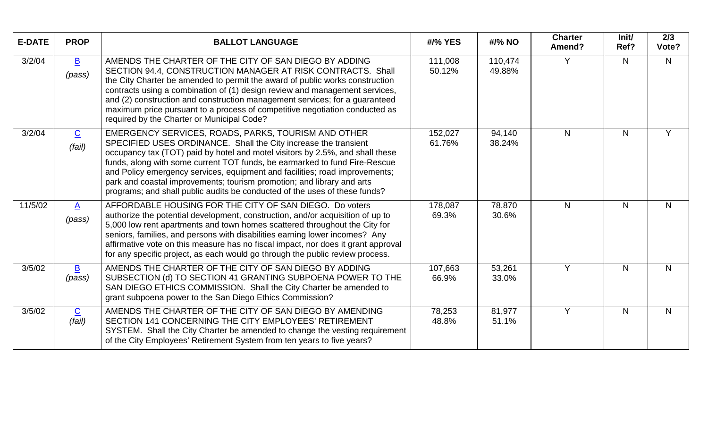| <b>E-DATE</b> | <b>PROP</b>                        | <b>BALLOT LANGUAGE</b>                                                                                                                                                                                                                                                                                                                                                                                                                                                                                                       | #/% YES           | #/% NO            | <b>Charter</b><br>Amend? | Init/<br>Ref?  | 2/3<br>Vote?   |
|---------------|------------------------------------|------------------------------------------------------------------------------------------------------------------------------------------------------------------------------------------------------------------------------------------------------------------------------------------------------------------------------------------------------------------------------------------------------------------------------------------------------------------------------------------------------------------------------|-------------------|-------------------|--------------------------|----------------|----------------|
| 3/2/04        | $\overline{\mathbf{B}}$<br>(pass)  | AMENDS THE CHARTER OF THE CITY OF SAN DIEGO BY ADDING<br>SECTION 94.4, CONSTRUCTION MANAGER AT RISK CONTRACTS. Shall<br>the City Charter be amended to permit the award of public works construction<br>contracts using a combination of (1) design review and management services,<br>and (2) construction and construction management services; for a guaranteed<br>maximum price pursuant to a process of competitive negotiation conducted as<br>required by the Charter or Municipal Code?                              | 111,008<br>50.12% | 110,474<br>49.88% | $\vee$                   | $\mathsf{N}$   | $\mathsf{N}$   |
| 3/2/04        | $\underline{\mathbf{C}}$<br>(fail) | EMERGENCY SERVICES, ROADS, PARKS, TOURISM AND OTHER<br>SPECIFIED USES ORDINANCE. Shall the City increase the transient<br>occupancy tax (TOT) paid by hotel and motel visitors by 2.5%, and shall these<br>funds, along with some current TOT funds, be earmarked to fund Fire-Rescue<br>and Policy emergency services, equipment and facilities; road improvements;<br>park and coastal improvements; tourism promotion; and library and arts<br>programs; and shall public audits be conducted of the uses of these funds? | 152,027<br>61.76% | 94,140<br>38.24%  | N.                       | N              | Y              |
| 11/5/02       | $\mathbf{A}$<br>(pass)             | AFFORDABLE HOUSING FOR THE CITY OF SAN DIEGO. Do voters<br>authorize the potential development, construction, and/or acquisition of up to<br>5,000 low rent apartments and town homes scattered throughout the City for<br>seniors, families, and persons with disabilities earning lower incomes? Any<br>affirmative vote on this measure has no fiscal impact, nor does it grant approval<br>for any specific project, as each would go through the public review process.                                                 | 178,087<br>69.3%  | 78,870<br>30.6%   | N                        | $\mathsf{N}$   | N              |
| 3/5/02        | $\mathbf{B}$<br>(pass)             | AMENDS THE CHARTER OF THE CITY OF SAN DIEGO BY ADDING<br>SUBSECTION (d) TO SECTION 41 GRANTING SUBPOENA POWER TO THE<br>SAN DIEGO ETHICS COMMISSION. Shall the City Charter be amended to<br>grant subpoena power to the San Diego Ethics Commission?                                                                                                                                                                                                                                                                        | 107,663<br>66.9%  | 53,261<br>33.0%   | Y                        | N <sub>1</sub> | N <sub>1</sub> |
| 3/5/02        | $\underline{\mathbf{C}}$<br>(fail) | AMENDS THE CHARTER OF THE CITY OF SAN DIEGO BY AMENDING<br>SECTION 141 CONCERNING THE CITY EMPLOYEES' RETIREMENT<br>SYSTEM. Shall the City Charter be amended to change the vesting requirement<br>of the City Employees' Retirement System from ten years to five years?                                                                                                                                                                                                                                                    | 78,253<br>48.8%   | 81,977<br>51.1%   | Y                        | $\mathsf{N}$   | N              |